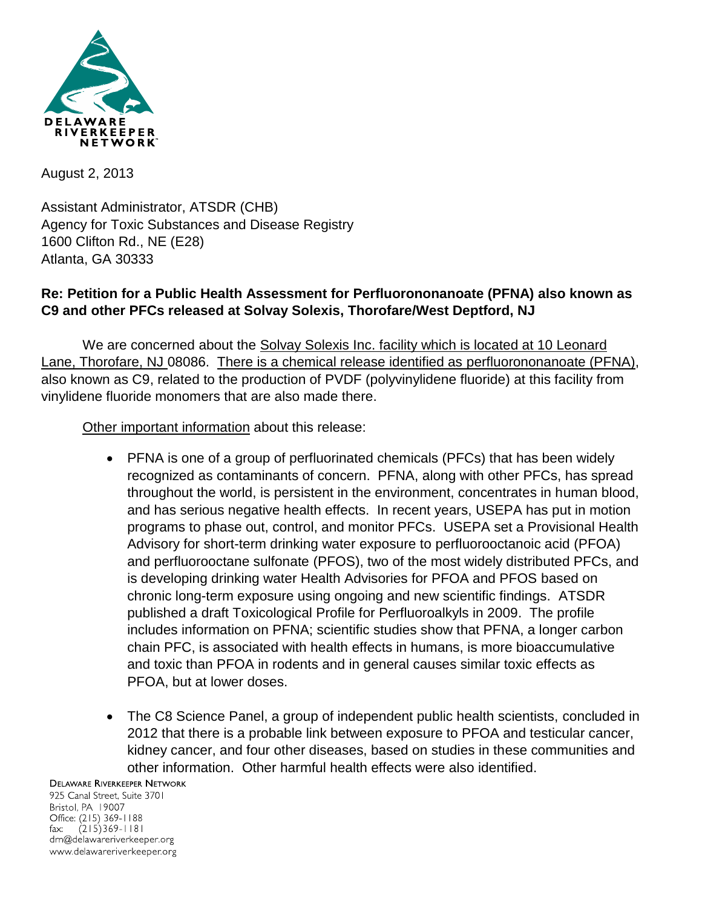

August 2, 2013

Assistant Administrator, ATSDR (CHB) Agency for Toxic Substances and Disease Registry 1600 Clifton Rd., NE (E28) Atlanta, GA 30333

## **Re: Petition for a Public Health Assessment for Perfluorononanoate (PFNA) also known as C9 and other PFCs released at Solvay Solexis, Thorofare/West Deptford, NJ**

We are concerned about the Solvay Solexis Inc. facility which is located at 10 Leonard Lane, Thorofare, NJ 08086. There is a chemical release identified as perfluorononanoate (PFNA), also known as C9, related to the production of PVDF (polyvinylidene fluoride) at this facility from vinylidene fluoride monomers that are also made there.

Other important information about this release:

- PFNA is one of a group of perfluorinated chemicals (PFCs) that has been widely recognized as contaminants of concern. PFNA, along with other PFCs, has spread throughout the world, is persistent in the environment, concentrates in human blood, and has serious negative health effects. In recent years, USEPA has put in motion programs to phase out, control, and monitor PFCs. USEPA set a Provisional Health Advisory for short-term drinking water exposure to perfluorooctanoic acid (PFOA) and perfluorooctane sulfonate (PFOS), two of the most widely distributed PFCs, and is developing drinking water Health Advisories for PFOA and PFOS based on chronic long-term exposure using ongoing and new scientific findings. ATSDR published a draft Toxicological Profile for Perfluoroalkyls in 2009. The profile includes information on PFNA; scientific studies show that PFNA, a longer carbon chain PFC, is associated with health effects in humans, is more bioaccumulative and toxic than PFOA in rodents and in general causes similar toxic effects as PFOA, but at lower doses.
- The C8 Science Panel, a group of independent public health scientists, concluded in 2012 that there is a probable link between exposure to PFOA and testicular cancer, kidney cancer, and four other diseases, based on studies in these communities and other information. Other harmful health effects were also identified.

## **DELAWARE RIVERKEEPER NETWORK**

925 Canal Street, Suite 3701 Bristol, PA 19007 Office: (215) 369-1188  $(215)369 - 1181$ fax: drn@delawareriverkeeper.org www.delawareriverkeeper.org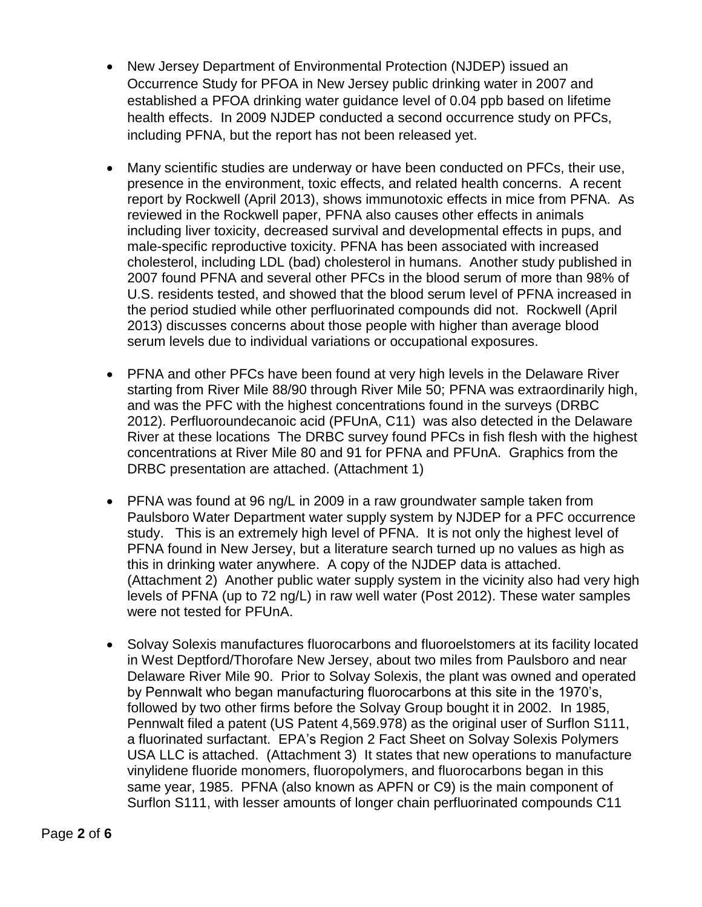- New Jersey Department of Environmental Protection (NJDEP) issued an Occurrence Study for PFOA in New Jersey public drinking water in 2007 and established a PFOA drinking water guidance level of 0.04 ppb based on lifetime health effects. In 2009 NJDEP conducted a second occurrence study on PFCs, including PFNA, but the report has not been released yet.
- Many scientific studies are underway or have been conducted on PFCs, their use, presence in the environment, toxic effects, and related health concerns. A recent report by Rockwell (April 2013), shows immunotoxic effects in mice from PFNA. As reviewed in the Rockwell paper, PFNA also causes other effects in animals including liver toxicity, decreased survival and developmental effects in pups, and male-specific reproductive toxicity. PFNA has been associated with increased cholesterol, including LDL (bad) cholesterol in humans. Another study published in 2007 found PFNA and several other PFCs in the blood serum of more than 98% of U.S. residents tested, and showed that the blood serum level of PFNA increased in the period studied while other perfluorinated compounds did not. Rockwell (April 2013) discusses concerns about those people with higher than average blood serum levels due to individual variations or occupational exposures.
- PFNA and other PFCs have been found at very high levels in the Delaware River starting from River Mile 88/90 through River Mile 50; PFNA was extraordinarily high, and was the PFC with the highest concentrations found in the surveys (DRBC 2012). Perfluoroundecanoic acid (PFUnA, C11) was also detected in the Delaware River at these locations The DRBC survey found PFCs in fish flesh with the highest concentrations at River Mile 80 and 91 for PFNA and PFUnA. Graphics from the DRBC presentation are attached. (Attachment 1)
- PFNA was found at 96 ng/L in 2009 in a raw groundwater sample taken from Paulsboro Water Department water supply system by NJDEP for a PFC occurrence study. This is an extremely high level of PFNA. It is not only the highest level of PFNA found in New Jersey, but a literature search turned up no values as high as this in drinking water anywhere. A copy of the NJDEP data is attached. (Attachment 2) Another public water supply system in the vicinity also had very high levels of PFNA (up to 72 ng/L) in raw well water (Post 2012). These water samples were not tested for PFUnA.
- Solvay Solexis manufactures fluorocarbons and fluoroelstomers at its facility located in West Deptford/Thorofare New Jersey, about two miles from Paulsboro and near Delaware River Mile 90. Prior to Solvay Solexis, the plant was owned and operated by Pennwalt who began manufacturing fluorocarbons at this site in the 1970's, followed by two other firms before the Solvay Group bought it in 2002. In 1985, Pennwalt filed a patent (US Patent 4,569.978) as the original user of Surflon S111, a fluorinated surfactant. EPA's Region 2 Fact Sheet on Solvay Solexis Polymers USA LLC is attached. (Attachment 3) It states that new operations to manufacture vinylidene fluoride monomers, fluoropolymers, and fluorocarbons began in this same year, 1985. PFNA (also known as APFN or C9) is the main component of Surflon S111, with lesser amounts of longer chain perfluorinated compounds C11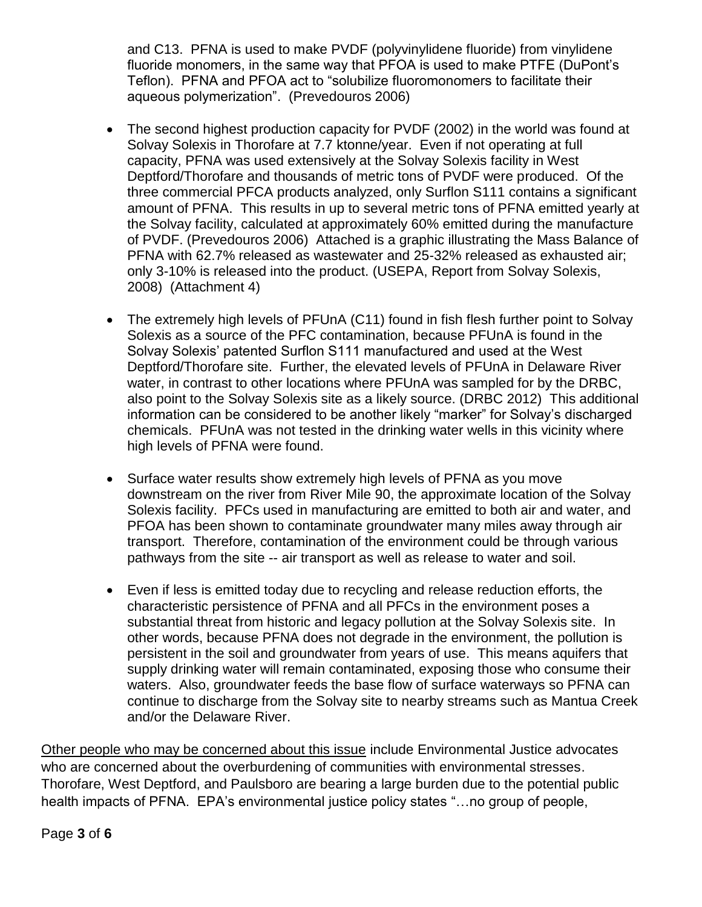and C13. PFNA is used to make PVDF (polyvinylidene fluoride) from vinylidene fluoride monomers, in the same way that PFOA is used to make PTFE (DuPont's Teflon). PFNA and PFOA act to "solubilize fluoromonomers to facilitate their aqueous polymerization". (Prevedouros 2006)

- The second highest production capacity for PVDF (2002) in the world was found at Solvay Solexis in Thorofare at 7.7 ktonne/year. Even if not operating at full capacity, PFNA was used extensively at the Solvay Solexis facility in West Deptford/Thorofare and thousands of metric tons of PVDF were produced. Of the three commercial PFCA products analyzed, only Surflon S111 contains a significant amount of PFNA. This results in up to several metric tons of PFNA emitted yearly at the Solvay facility, calculated at approximately 60% emitted during the manufacture of PVDF. (Prevedouros 2006) Attached is a graphic illustrating the Mass Balance of PFNA with 62.7% released as wastewater and 25-32% released as exhausted air; only 3-10% is released into the product. (USEPA, Report from Solvay Solexis, 2008) (Attachment 4)
- The extremely high levels of PFUnA (C11) found in fish flesh further point to Solvay Solexis as a source of the PFC contamination, because PFUnA is found in the Solvay Solexis' patented Surflon S111 manufactured and used at the West Deptford/Thorofare site. Further, the elevated levels of PFUnA in Delaware River water, in contrast to other locations where PFUnA was sampled for by the DRBC, also point to the Solvay Solexis site as a likely source. (DRBC 2012) This additional information can be considered to be another likely "marker" for Solvay's discharged chemicals. PFUnA was not tested in the drinking water wells in this vicinity where high levels of PFNA were found.
- Surface water results show extremely high levels of PFNA as you move downstream on the river from River Mile 90, the approximate location of the Solvay Solexis facility. PFCs used in manufacturing are emitted to both air and water, and PFOA has been shown to contaminate groundwater many miles away through air transport. Therefore, contamination of the environment could be through various pathways from the site -- air transport as well as release to water and soil.
- Even if less is emitted today due to recycling and release reduction efforts, the characteristic persistence of PFNA and all PFCs in the environment poses a substantial threat from historic and legacy pollution at the Solvay Solexis site. In other words, because PFNA does not degrade in the environment, the pollution is persistent in the soil and groundwater from years of use. This means aquifers that supply drinking water will remain contaminated, exposing those who consume their waters. Also, groundwater feeds the base flow of surface waterways so PFNA can continue to discharge from the Solvay site to nearby streams such as Mantua Creek and/or the Delaware River.

Other people who may be concerned about this issue include Environmental Justice advocates who are concerned about the overburdening of communities with environmental stresses. Thorofare, West Deptford, and Paulsboro are bearing a large burden due to the potential public health impacts of PFNA. EPA's environmental justice policy states "...no group of people,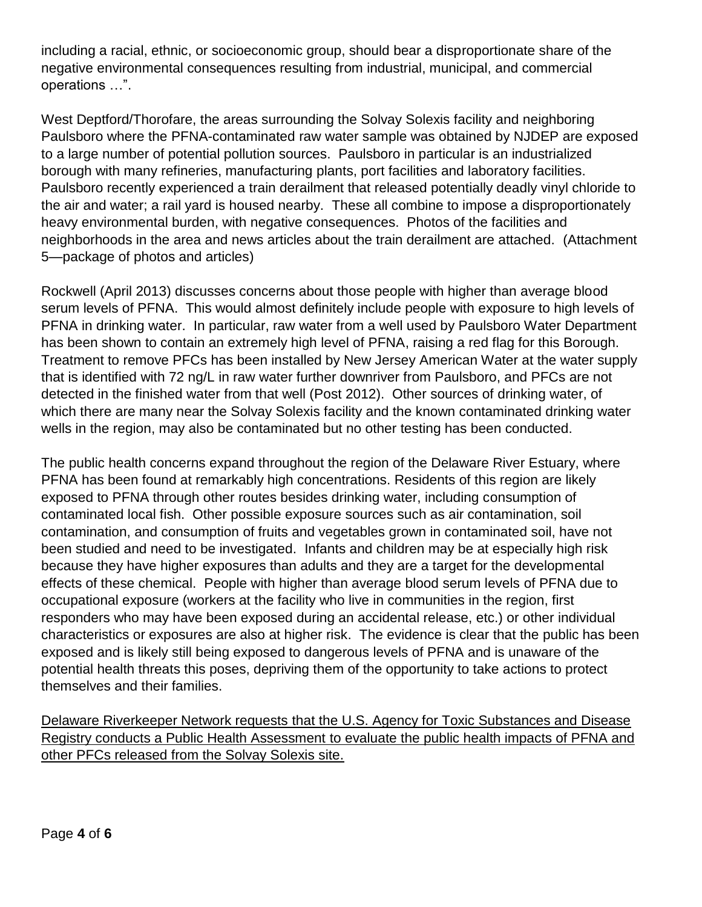including a racial, ethnic, or socioeconomic group, should bear a disproportionate share of the negative environmental consequences resulting from industrial, municipal, and commercial operations …".

West Deptford/Thorofare, the areas surrounding the Solvay Solexis facility and neighboring Paulsboro where the PFNA-contaminated raw water sample was obtained by NJDEP are exposed to a large number of potential pollution sources. Paulsboro in particular is an industrialized borough with many refineries, manufacturing plants, port facilities and laboratory facilities. Paulsboro recently experienced a train derailment that released potentially deadly vinyl chloride to the air and water; a rail yard is housed nearby. These all combine to impose a disproportionately heavy environmental burden, with negative consequences. Photos of the facilities and neighborhoods in the area and news articles about the train derailment are attached. (Attachment 5—package of photos and articles)

Rockwell (April 2013) discusses concerns about those people with higher than average blood serum levels of PFNA. This would almost definitely include people with exposure to high levels of PFNA in drinking water. In particular, raw water from a well used by Paulsboro Water Department has been shown to contain an extremely high level of PFNA, raising a red flag for this Borough. Treatment to remove PFCs has been installed by New Jersey American Water at the water supply that is identified with 72 ng/L in raw water further downriver from Paulsboro, and PFCs are not detected in the finished water from that well (Post 2012). Other sources of drinking water, of which there are many near the Solvay Solexis facility and the known contaminated drinking water wells in the region, may also be contaminated but no other testing has been conducted.

The public health concerns expand throughout the region of the Delaware River Estuary, where PFNA has been found at remarkably high concentrations. Residents of this region are likely exposed to PFNA through other routes besides drinking water, including consumption of contaminated local fish. Other possible exposure sources such as air contamination, soil contamination, and consumption of fruits and vegetables grown in contaminated soil, have not been studied and need to be investigated. Infants and children may be at especially high risk because they have higher exposures than adults and they are a target for the developmental effects of these chemical. People with higher than average blood serum levels of PFNA due to occupational exposure (workers at the facility who live in communities in the region, first responders who may have been exposed during an accidental release, etc.) or other individual characteristics or exposures are also at higher risk. The evidence is clear that the public has been exposed and is likely still being exposed to dangerous levels of PFNA and is unaware of the potential health threats this poses, depriving them of the opportunity to take actions to protect themselves and their families.

Delaware Riverkeeper Network requests that the U.S. Agency for Toxic Substances and Disease Registry conducts a Public Health Assessment to evaluate the public health impacts of PFNA and other PFCs released from the Solvay Solexis site.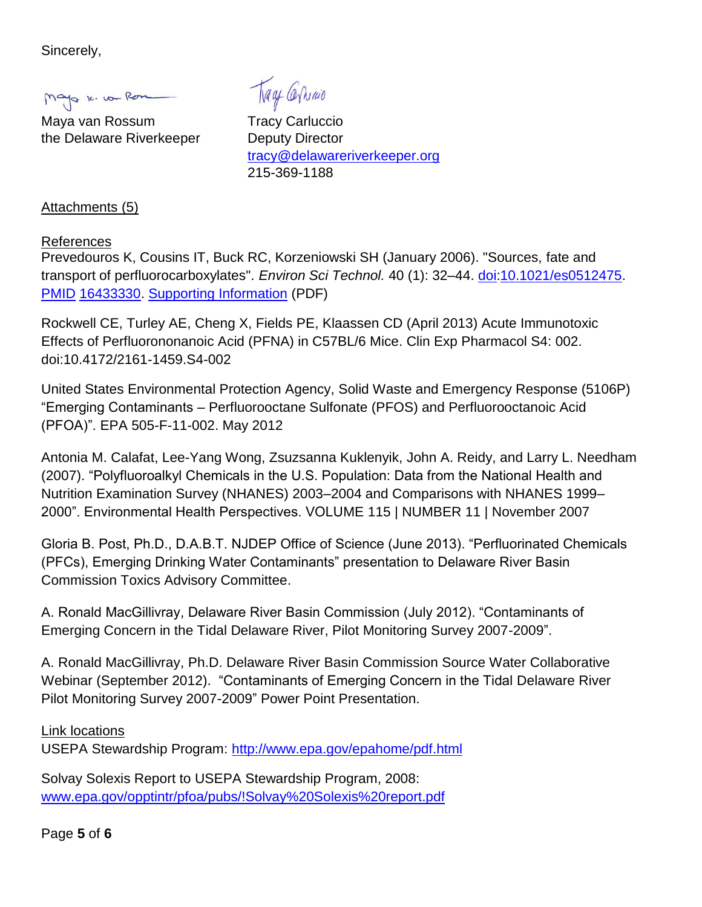Sincerely,

Mayo K. von Rom

Maya van Rossum Tracy Carluccio the Delaware Riverkeeper Deputy Director

Trage Carriao

[tracy@delawareriverkeeper.org](mailto:tracy@delawareriverkeeper.org) 215-369-1188

Attachments (5)

## References

Prevedouros K, Cousins IT, Buck RC, Korzeniowski SH (January 2006). "Sources, fate and transport of perfluorocarboxylates". *Environ Sci Technol.* 40 (1): 32–44. [doi](http://en.wikipedia.org/wiki/Digital_object_identifier)[:10.1021/es0512475.](http://dx.doi.org/10.1021%2Fes0512475) [PMID](http://en.wikipedia.org/wiki/PubMed_Identifier) [16433330.](http://www.ncbi.nlm.nih.gov/pubmed/16433330) [Supporting Information](http://pubs.acs.org/doi/suppl/10.1021/es0512475/suppl_file/es0512475.pdf) (PDF)

Rockwell CE, Turley AE, Cheng X, Fields PE, Klaassen CD (April 2013) Acute Immunotoxic Effects of Perfluorononanoic Acid (PFNA) in C57BL/6 Mice. Clin Exp Pharmacol S4: 002. doi:10.4172/2161-1459.S4-002

United States Environmental Protection Agency, Solid Waste and Emergency Response (5106P) "Emerging Contaminants – Perfluorooctane Sulfonate (PFOS) and Perfluorooctanoic Acid (PFOA)". EPA 505-F-11-002. May 2012

Antonia M. Calafat, Lee-Yang Wong, Zsuzsanna Kuklenyik, John A. Reidy, and Larry L. Needham (2007). "Polyfluoroalkyl Chemicals in the U.S. Population: Data from the National Health and Nutrition Examination Survey (NHANES) 2003–2004 and Comparisons with NHANES 1999– 2000". Environmental Health Perspectives. VOLUME 115 | NUMBER 11 | November 2007

Gloria B. Post, Ph.D., D.A.B.T. NJDEP Office of Science (June 2013). "Perfluorinated Chemicals (PFCs), Emerging Drinking Water Contaminants" presentation to Delaware River Basin Commission Toxics Advisory Committee.

A. Ronald MacGillivray, Delaware River Basin Commission (July 2012). "Contaminants of Emerging Concern in the Tidal Delaware River, Pilot Monitoring Survey 2007-2009".

A. Ronald MacGillivray, Ph.D. Delaware River Basin Commission Source Water Collaborative Webinar (September 2012). "Contaminants of Emerging Concern in the Tidal Delaware River Pilot Monitoring Survey 2007-2009" Power Point Presentation.

Link locations

USEPA Stewardship Program:<http://www.epa.gov/epahome/pdf.html>

Solvay Solexis Report to USEPA Stewardship Program, 2008: [www.epa.gov/opptintr/pfoa/pubs/!Solvay%20Solexis%20report.pdf](http://www.epa.gov/opptintr/pfoa/pubs/!Solvay%20Solexis%20report.pdf)

Page **5** of **6**